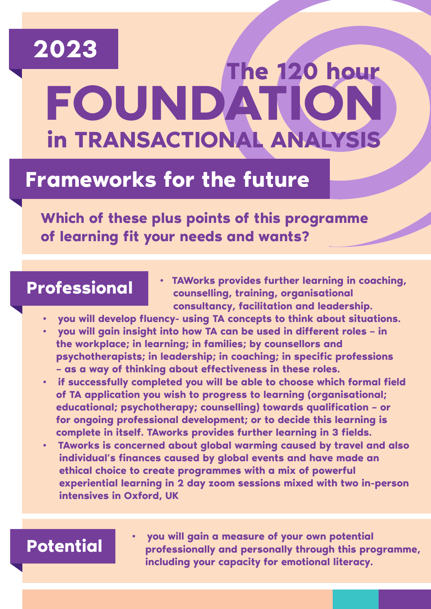# **FOUNDATION 2023 in TRANSACTIONAL ANALYSIS The 120 hour**

# **Frameworks for the future**

**Which of these plus points of this programme of learning fit your needs and wants?**

## **Professional**

- **TAWorks provides further learning in coaching, counselling, training, organisational consultancy, facilitation and leadership.**
- **you will develop fluency- using TA concepts to think about situations.**
- **you will gain insight into how TA can be used in different roles in the workplace; in learning; in families; by counsellors and psychotherapists; in leadership; in coaching; in specific professions – as a way of thinking about effectiveness in these roles.**
- **if successfully completed you will be able to choose which formal field of TA application you wish to progress to learning (organisational; educational; psychotherapy; counselling) towards qualification – or for ongoing professional development; or to decide this learning is complete in itself. TAworks provides further learning in 3 fields.**
- **TAworks is concerned about global warming caused by travel and also individual's finances caused by global events and have made an ethical choice to create programmes with a mix of powerful experiential learning in 2 day zoom sessions mixed with two in-person intensives in Oxford, UK**

## **Potential**

**• you will gain a measure of your own potential professionally and personally through this programme, including your capacity for emotional literacy.**